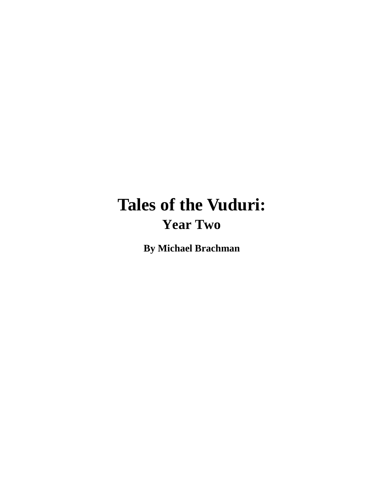# **Tales of the Vuduri: Year Two**

**By Michael Brachman**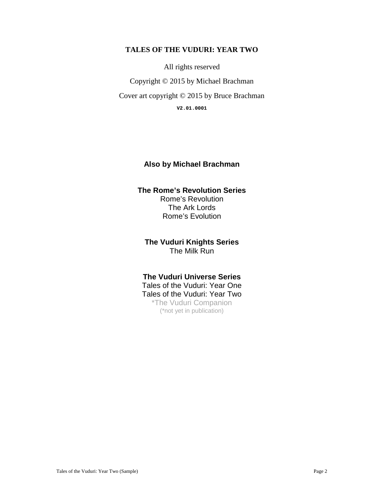#### **TALES OF THE VUDURI: YEAR TWO**

All rights reserved

Copyright © 2015 by Michael Brachman

Cover art copyright © 2015 by Bruce Brachman

**V2.01.0001** 

#### **Also by Michael Brachman**

#### **The Rome's Revolution Series**  Rome's Revolution The Ark Lords Rome's Evolution

**The Vuduri Knights Series**  The Milk Run

#### **The Vuduri Universe Series**

Tales of the Vuduri: Year One Tales of the Vuduri: Year Two \*The Vuduri Companion (\*not yet in publication)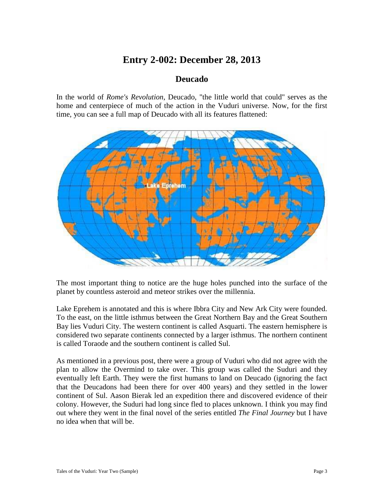### **Entry 2-002: December 28, 2013**

#### **Deucado**

In the world of *Rome's Revolution*, Deucado, "the little world that could" serves as the home and centerpiece of much of the action in the Vuduri universe. Now, for the first time, you can see a full map of Deucado with all its features flattened:



The most important thing to notice are the huge holes punched into the surface of the planet by countless asteroid and meteor strikes over the millennia.

Lake Eprehem is annotated and this is where Ibbra City and New Ark City were founded. To the east, on the little isthmus between the Great Northern Bay and the Great Southern Bay lies Vuduri City. The western continent is called Asquarti. The eastern hemisphere is considered two separate continents connected by a larger isthmus. The northern continent is called Toraode and the southern continent is called Sul.

As mentioned in a previous post, there were a group of Vuduri who did not agree with the plan to allow the Overmind to take over. This group was called the Suduri and they eventually left Earth. They were the first humans to land on Deucado (ignoring the fact that the Deucadons had been there for over 400 years) and they settled in the lower continent of Sul. Aason Bierak led an expedition there and discovered evidence of their colony. However, the Suduri had long since fled to places unknown. I think you may find out where they went in the final novel of the series entitled *The Final Journey* but I have no idea when that will be.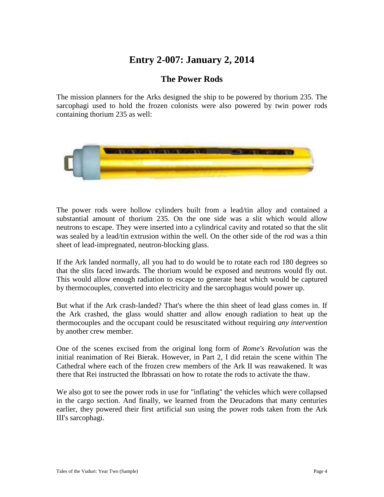### **Entry 2-007: January 2, 2014**

### **The Power Rods**

The mission planners for the Arks designed the ship to be powered by thorium 235. The sarcophagi used to hold the frozen colonists were also powered by twin power rods containing thorium 235 as well:



The power rods were hollow cylinders built from a lead/tin alloy and contained a substantial amount of thorium 235. On the one side was a slit which would allow neutrons to escape. They were inserted into a cylindrical cavity and rotated so that the slit was sealed by a lead/tin extrusion within the well. On the other side of the rod was a thin sheet of lead-impregnated, neutron-blocking glass.

If the Ark landed normally, all you had to do would be to rotate each rod 180 degrees so that the slits faced inwards. The thorium would be exposed and neutrons would fly out. This would allow enough radiation to escape to generate heat which would be captured by thermocouples, converted into electricity and the sarcophagus would power up.

But what if the Ark crash-landed? That's where the thin sheet of lead glass comes in. If the Ark crashed, the glass would shatter and allow enough radiation to heat up the thermocouples and the occupant could be resuscitated without requiring *any intervention* by another crew member.

One of the scenes excised from the original long form of *Rome's Revolution* was the initial reanimation of Rei Bierak. However, in Part 2, I did retain the scene within The Cathedral where each of the frozen crew members of the Ark II was reawakened. It was there that Rei instructed the Ibbrassati on how to rotate the rods to activate the thaw.

We also got to see the power rods in use for "inflating" the vehicles which were collapsed in the cargo section. And finally, we learned from the Deucadons that many centuries earlier, they powered their first artificial sun using the power rods taken from the Ark III's sarcophagi.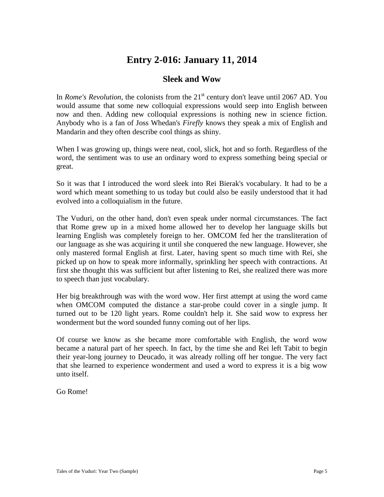### **Entry 2-016: January 11, 2014**

#### **Sleek and Wow**

In *Rome's Revolution*, the colonists from the  $21<sup>st</sup>$  century don't leave until 2067 AD. You would assume that some new colloquial expressions would seep into English between now and then. Adding new colloquial expressions is nothing new in science fiction. Anybody who is a fan of Joss Whedan's *Firefly* knows they speak a mix of English and Mandarin and they often describe cool things as shiny.

When I was growing up, things were neat, cool, slick, hot and so forth. Regardless of the word, the sentiment was to use an ordinary word to express something being special or great.

So it was that I introduced the word sleek into Rei Bierak's vocabulary. It had to be a word which meant something to us today but could also be easily understood that it had evolved into a colloquialism in the future.

The Vuduri, on the other hand, don't even speak under normal circumstances. The fact that Rome grew up in a mixed home allowed her to develop her language skills but learning English was completely foreign to her. OMCOM fed her the transliteration of our language as she was acquiring it until she conquered the new language. However, she only mastered formal English at first. Later, having spent so much time with Rei, she picked up on how to speak more informally, sprinkling her speech with contractions. At first she thought this was sufficient but after listening to Rei, she realized there was more to speech than just vocabulary.

Her big breakthrough was with the word wow. Her first attempt at using the word came when OMCOM computed the distance a star-probe could cover in a single jump. It turned out to be 120 light years. Rome couldn't help it. She said wow to express her wonderment but the word sounded funny coming out of her lips.

Of course we know as she became more comfortable with English, the word wow became a natural part of her speech. In fact, by the time she and Rei left Tabit to begin their year-long journey to Deucado, it was already rolling off her tongue. The very fact that she learned to experience wonderment and used a word to express it is a big wow unto itself.

Go Rome!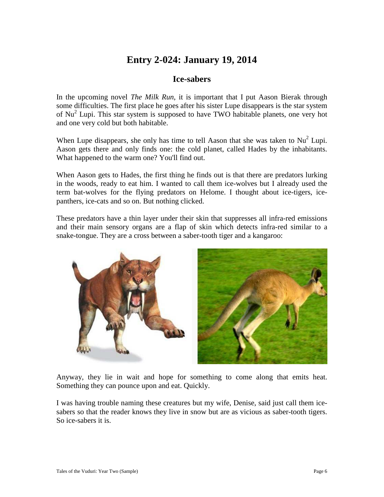### **Entry 2-024: January 19, 2014**

### **Ice-sabers**

In the upcoming novel *The Milk Run*, it is important that I put Aason Bierak through some difficulties. The first place he goes after his sister Lupe disappears is the star system of Nu<sup>2</sup> Lupi. This star system is supposed to have TWO habitable planets, one very hot and one very cold but both habitable.

When Lupe disappears, she only has time to tell Aason that she was taken to  $Nu<sup>2</sup>$  Lupi. Aason gets there and only finds one: the cold planet, called Hades by the inhabitants. What happened to the warm one? You'll find out.

When Aason gets to Hades, the first thing he finds out is that there are predators lurking in the woods, ready to eat him. I wanted to call them ice-wolves but I already used the term bat-wolves for the flying predators on Helome. I thought about ice-tigers, icepanthers, ice-cats and so on. But nothing clicked.

These predators have a thin layer under their skin that suppresses all infra-red emissions and their main sensory organs are a flap of skin which detects infra-red similar to a snake-tongue. They are a cross between a saber-tooth tiger and a kangaroo:



Anyway, they lie in wait and hope for something to come along that emits heat. Something they can pounce upon and eat. Quickly.

I was having trouble naming these creatures but my wife, Denise, said just call them icesabers so that the reader knows they live in snow but are as vicious as saber-tooth tigers. So ice-sabers it is.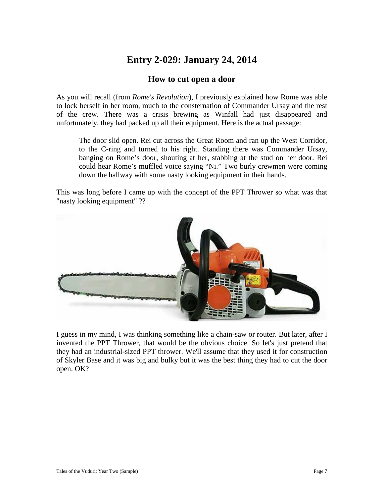# **Entry 2-029: January 24, 2014**

#### **How to cut open a door**

As you will recall (from *Rome's Revolution*), I previously explained how Rome was able to lock herself in her room, much to the consternation of Commander Ursay and the rest of the crew. There was a crisis brewing as Winfall had just disappeared and unfortunately, they had packed up all their equipment. Here is the actual passage:

The door slid open. Rei cut across the Great Room and ran up the West Corridor, to the C-ring and turned to his right. Standing there was Commander Ursay, banging on Rome's door, shouting at her, stabbing at the stud on her door. Rei could hear Rome's muffled voice saying "Ni." Two burly crewmen were coming down the hallway with some nasty looking equipment in their hands.

This was long before I came up with the concept of the PPT Thrower so what was that "nasty looking equipment" ??



I guess in my mind, I was thinking something like a chain-saw or router. But later, after I invented the PPT Thrower, that would be the obvious choice. So let's just pretend that they had an industrial-sized PPT thrower. We'll assume that they used it for construction of Skyler Base and it was big and bulky but it was the best thing they had to cut the door open. OK?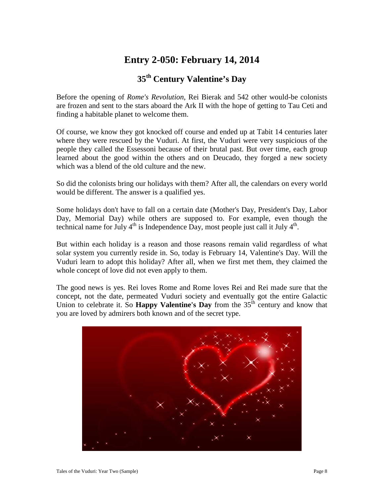# **Entry 2-050: February 14, 2014**

### **35th Century Valentine's Day**

Before the opening of *Rome's Revolution*, Rei Bierak and 542 other would-be colonists are frozen and sent to the stars aboard the Ark II with the hope of getting to Tau Ceti and finding a habitable planet to welcome them.

Of course, we know they got knocked off course and ended up at Tabit 14 centuries later where they were rescued by the Vuduri. At first, the Vuduri were very suspicious of the people they called the Essessoni because of their brutal past. But over time, each group learned about the good within the others and on Deucado, they forged a new society which was a blend of the old culture and the new.

So did the colonists bring our holidays with them? After all, the calendars on every world would be different. The answer is a qualified yes.

Some holidays don't have to fall on a certain date (Mother's Day, President's Day, Labor Day, Memorial Day) while others are supposed to. For example, even though the technical name for July  $4<sup>th</sup>$  is Independence Day, most people just call it July  $4<sup>th</sup>$ .

But within each holiday is a reason and those reasons remain valid regardless of what solar system you currently reside in. So, today is February 14, Valentine's Day. Will the Vuduri learn to adopt this holiday? After all, when we first met them, they claimed the whole concept of love did not even apply to them.

The good news is yes. Rei loves Rome and Rome loves Rei and Rei made sure that the concept, not the date, permeated Vuduri society and eventually got the entire Galactic Union to celebrate it. So **Happy Valentine's Day** from the 35<sup>th</sup> century and know that you are loved by admirers both known and of the secret type.

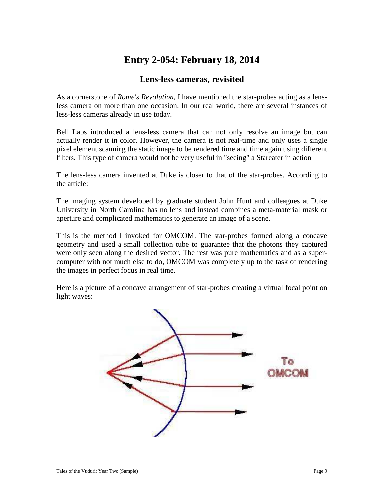# **Entry 2-054: February 18, 2014**

### **Lens-less cameras, revisited**

As a cornerstone of *Rome's Revolution*, I have mentioned the star-probes acting as a lensless camera on more than one occasion. In our real world, there are several instances of less-less cameras already in use today.

Bell Labs introduced a lens-less camera that can not only resolve an image but can actually render it in color. However, the camera is not real-time and only uses a single pixel element scanning the static image to be rendered time and time again using different filters. This type of camera would not be very useful in "seeing" a Stareater in action.

The lens-less camera invented at Duke is closer to that of the star-probes. According to the article:

The imaging system developed by graduate student John Hunt and colleagues at Duke University in North Carolina has no lens and instead combines a meta-material mask or aperture and complicated mathematics to generate an image of a scene.

This is the method I invoked for OMCOM. The star-probes formed along a concave geometry and used a small collection tube to guarantee that the photons they captured were only seen along the desired vector. The rest was pure mathematics and as a supercomputer with not much else to do, OMCOM was completely up to the task of rendering the images in perfect focus in real time.

Here is a picture of a concave arrangement of star-probes creating a virtual focal point on light waves:

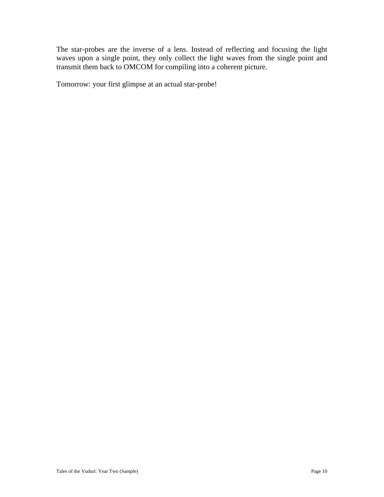The star-probes are the inverse of a lens. Instead of reflecting and focusing the light waves upon a single point, they only collect the light waves from the single point and transmit them back to OMCOM for compiling into a coherent picture.

Tomorrow: your first glimpse at an actual star-probe!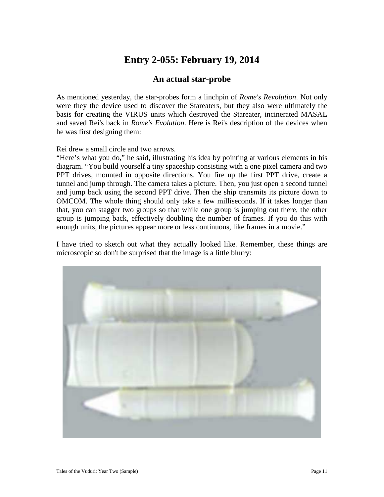# **Entry 2-055: February 19, 2014**

#### **An actual star-probe**

As mentioned yesterday, the star-probes form a linchpin of *Rome's Revolution*. Not only were they the device used to discover the Stareaters, but they also were ultimately the basis for creating the VIRUS units which destroyed the Stareater, incinerated MASAL and saved Rei's back in *Rome's Evolution*. Here is Rei's description of the devices when he was first designing them:

Rei drew a small circle and two arrows.

"Here's what you do," he said, illustrating his idea by pointing at various elements in his diagram. "You build yourself a tiny spaceship consisting with a one pixel camera and two PPT drives, mounted in opposite directions. You fire up the first PPT drive, create a tunnel and jump through. The camera takes a picture. Then, you just open a second tunnel and jump back using the second PPT drive. Then the ship transmits its picture down to OMCOM. The whole thing should only take a few milliseconds. If it takes longer than that, you can stagger two groups so that while one group is jumping out there, the other group is jumping back, effectively doubling the number of frames. If you do this with enough units, the pictures appear more or less continuous, like frames in a movie."

I have tried to sketch out what they actually looked like. Remember, these things are microscopic so don't be surprised that the image is a little blurry:

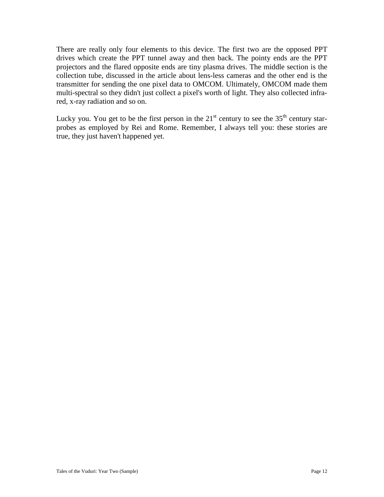There are really only four elements to this device. The first two are the opposed PPT drives which create the PPT tunnel away and then back. The pointy ends are the PPT projectors and the flared opposite ends are tiny plasma drives. The middle section is the collection tube, discussed in the article about lens-less cameras and the other end is the transmitter for sending the one pixel data to OMCOM. Ultimately, OMCOM made them multi-spectral so they didn't just collect a pixel's worth of light. They also collected infrared, x-ray radiation and so on.

Lucky you. You get to be the first person in the  $21<sup>st</sup>$  century to see the  $35<sup>th</sup>$  century starprobes as employed by Rei and Rome. Remember, I always tell you: these stories are true, they just haven't happened yet.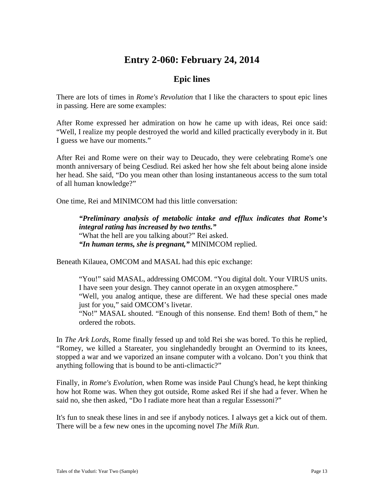### **Entry 2-060: February 24, 2014**

### **Epic lines**

There are lots of times in *Rome's Revolution* that I like the characters to spout epic lines in passing. Here are some examples:

After Rome expressed her admiration on how he came up with ideas, Rei once said: "Well, I realize my people destroyed the world and killed practically everybody in it. But I guess we have our moments."

After Rei and Rome were on their way to Deucado, they were celebrating Rome's one month anniversary of being Cesdiud. Rei asked her how she felt about being alone inside her head. She said, "Do you mean other than losing instantaneous access to the sum total of all human knowledge?"

One time, Rei and MINIMCOM had this little conversation:

*"Preliminary analysis of metabolic intake and efflux indicates that Rome's integral rating has increased by two tenths."*  "What the hell are you talking about?" Rei asked. *"In human terms, she is pregnant,"* MINIMCOM replied.

Beneath Kilauea, OMCOM and MASAL had this epic exchange:

"You!" said MASAL, addressing OMCOM. "You digital dolt. Your VIRUS units. I have seen your design. They cannot operate in an oxygen atmosphere." "Well, you analog antique, these are different. We had these special ones made just for you," said OMCOM's livetar.

"No!" MASAL shouted. "Enough of this nonsense. End them! Both of them," he ordered the robots.

In *The Ark Lords*, Rome finally fessed up and told Rei she was bored. To this he replied, "Romey, we killed a Stareater, you singlehandedly brought an Overmind to its knees, stopped a war and we vaporized an insane computer with a volcano. Don't you think that anything following that is bound to be anti-climactic?"

Finally, in *Rome's Evolution*, when Rome was inside Paul Chung's head, he kept thinking how hot Rome was. When they got outside, Rome asked Rei if she had a fever. When he said no, she then asked, "Do I radiate more heat than a regular Essessoni?"

It's fun to sneak these lines in and see if anybody notices. I always get a kick out of them. There will be a few new ones in the upcoming novel *The Milk Run*.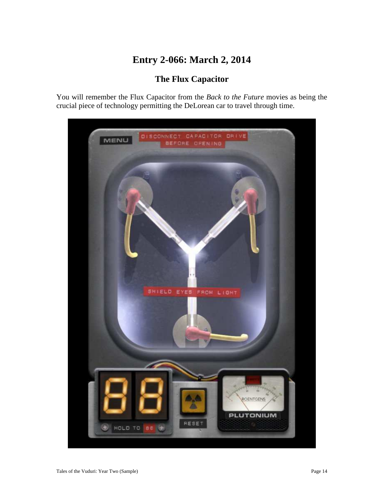# **Entry 2-066: March 2, 2014**

### **The Flux Capacitor**

You will remember the Flux Capacitor from the *Back to the Future* movies as being the crucial piece of technology permitting the DeLorean car to travel through time.

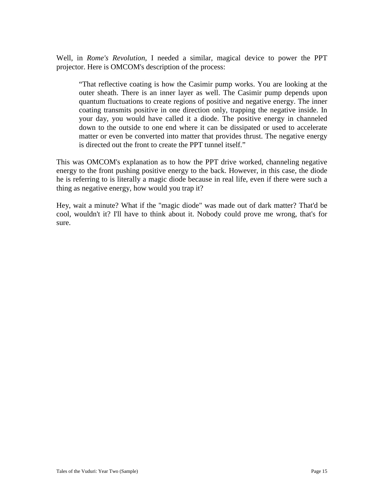Well, in *Rome's Revolution*, I needed a similar, magical device to power the PPT projector. Here is OMCOM's description of the process:

"That reflective coating is how the Casimir pump works. You are looking at the outer sheath. There is an inner layer as well. The Casimir pump depends upon quantum fluctuations to create regions of positive and negative energy. The inner coating transmits positive in one direction only, trapping the negative inside. In your day, you would have called it a diode. The positive energy in channeled down to the outside to one end where it can be dissipated or used to accelerate matter or even be converted into matter that provides thrust. The negative energy is directed out the front to create the PPT tunnel itself."

This was OMCOM's explanation as to how the PPT drive worked, channeling negative energy to the front pushing positive energy to the back. However, in this case, the diode he is referring to is literally a magic diode because in real life, even if there were such a thing as negative energy, how would you trap it?

Hey, wait a minute? What if the "magic diode" was made out of dark matter? That'd be cool, wouldn't it? I'll have to think about it. Nobody could prove me wrong, that's for sure.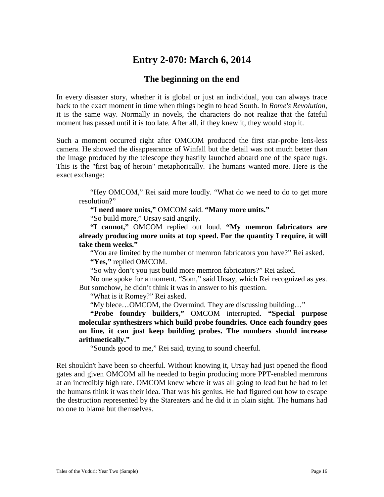### **Entry 2-070: March 6, 2014**

#### **The beginning on the end**

In every disaster story, whether it is global or just an individual, you can always trace back to the exact moment in time when things begin to head South. In *Rome's Revolution*, it is the same way. Normally in novels, the characters do not realize that the fateful moment has passed until it is too late. After all, if they knew it, they would stop it.

Such a moment occurred right after OMCOM produced the first star-probe lens-less camera. He showed the disappearance of Winfall but the detail was not much better than the image produced by the telescope they hastily launched aboard one of the space tugs. This is the "first bag of heroin" metaphorically. The humans wanted more. Here is the exact exchange:

"Hey OMCOM," Rei said more loudly. "What do we need to do to get more resolution?"

**"I need more units,"** OMCOM said. **"Many more units."** 

"So build more," Ursay said angrily.

**"I cannot,"** OMCOM replied out loud. **"My memron fabricators are already producing more units at top speed. For the quantity I require, it will take them weeks."** 

"You are limited by the number of memron fabricators you have?" Rei asked. **"Yes,"** replied OMCOM.

"So why don't you just build more memron fabricators?" Rei asked.

No one spoke for a moment. "Som," said Ursay, which Rei recognized as yes. But somehow, he didn't think it was in answer to his question.

"What is it Romey?" Rei asked.

"My blece…OMCOM, the Overmind. They are discussing building…"

**"Probe foundry builders,"** OMCOM interrupted. **"Special purpose molecular synthesizers which build probe foundries. Once each foundry goes on line, it can just keep building probes. The numbers should increase arithmetically."** 

"Sounds good to me," Rei said, trying to sound cheerful.

Rei shouldn't have been so cheerful. Without knowing it, Ursay had just opened the flood gates and given OMCOM all he needed to begin producing more PPT-enabled memrons at an incredibly high rate. OMCOM knew where it was all going to lead but he had to let the humans think it was their idea. That was his genius. He had figured out how to escape the destruction represented by the Stareaters and he did it in plain sight. The humans had no one to blame but themselves.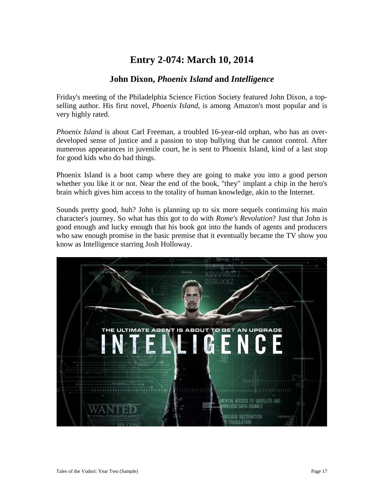### **Entry 2-074: March 10, 2014**

#### **John Dixon,** *Phoenix Island* **and** *Intelligence*

Friday's meeting of the Philadelphia Science Fiction Society featured John Dixon, a topselling author. His first novel, *Phoenix Island*, is among Amazon's most popular and is very highly rated.

*Phoenix Island* is about Carl Freeman, a troubled 16-year-old orphan, who has an overdeveloped sense of justice and a passion to stop bullying that he cannot control. After numerous appearances in juvenile court, he is sent to Phoenix Island, kind of a last stop for good kids who do bad things.

Phoenix Island is a boot camp where they are going to make you into a good person whether you like it or not. Near the end of the book, "they" implant a chip in the hero's brain which gives him access to the totality of human knowledge, akin to the Internet.

Sounds pretty good, huh? John is planning up to six more sequels continuing his main character's journey. So what has this got to do with *Rome's Revolution*? Just that John is good enough and lucky enough that his book got into the hands of agents and producers who saw enough promise in the basic premise that it eventually became the TV show you know as Intelligence starring Josh Holloway.

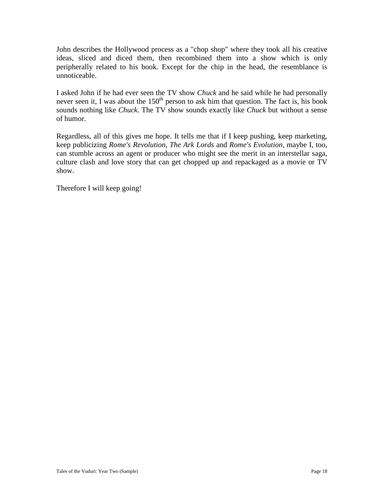John describes the Hollywood process as a "chop shop" where they took all his creative ideas, sliced and diced them, then recombined them into a show which is only peripherally related to his book. Except for the chip in the head, the resemblance is unnoticeable.

I asked John if he had ever seen the TV show *Chuck* and he said while he had personally never seen it, I was about the  $150<sup>th</sup>$  person to ask him that question. The fact is, his book sounds nothing like *Chuck*. The TV show sounds exactly like *Chuck* but without a sense of humor.

Regardless, all of this gives me hope. It tells me that if I keep pushing, keep marketing, keep publicizing *Rome's Revolution*, *The Ark Lords* and *Rome's Evolution*, maybe I, too, can stumble across an agent or producer who might see the merit in an interstellar saga, culture clash and love story that can get chopped up and repackaged as a movie or TV show.

Therefore I will keep going!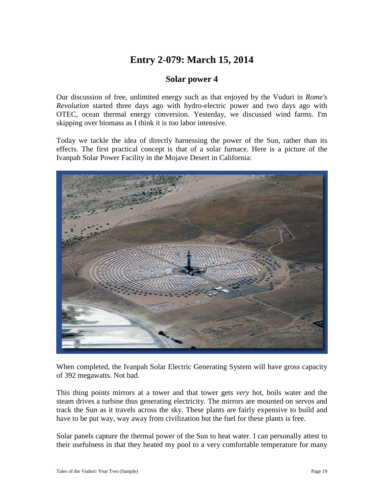# **Entry 2-079: March 15, 2014**

#### **Solar power 4**

Our discussion of free, unlimited energy such as that enjoyed by the Vuduri in *Rome's Revolution* started three days ago with hydro-electric power and two days ago with OTEC, ocean thermal energy conversion. Yesterday, we discussed wind farms. I'm skipping over biomass as I think it is too labor intensive.

Today we tackle the idea of directly harnessing the power of the Sun, rather than its effects. The first practical concept is that of a solar furnace. Here is a picture of the Ivanpah Solar Power Facility in the Mojave Desert in California:



When completed, the Ivanpah Solar Electric Generating System will have gross capacity of 392 megawatts. Not bad.

This thing points mirrors at a tower and that tower gets *very* hot, boils water and the steam drives a turbine thus generating electricity. The mirrors are mounted on servos and track the Sun as it travels across the sky. These plants are fairly expensive to build and have to be put way, way away from civilization but the fuel for these plants is free.

Solar panels capture the thermal power of the Sun to heat water. I can personally attest to their usefulness in that they heated my pool to a very comfortable temperature for many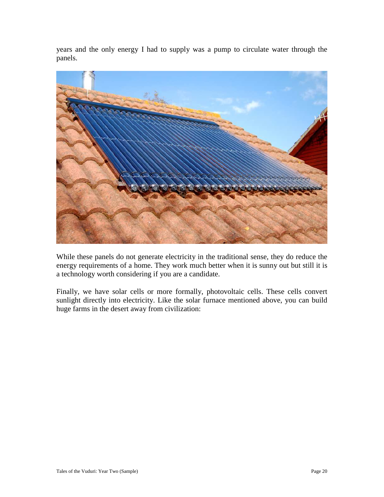years and the only energy I had to supply was a pump to circulate water through the panels.



While these panels do not generate electricity in the traditional sense, they do reduce the energy requirements of a home. They work much better when it is sunny out but still it is a technology worth considering if you are a candidate.

Finally, we have solar cells or more formally, photovoltaic cells. These cells convert sunlight directly into electricity. Like the solar furnace mentioned above, you can build huge farms in the desert away from civilization: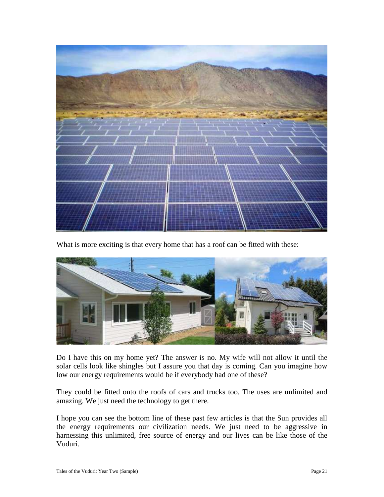

What is more exciting is that every home that has a roof can be fitted with these:



Do I have this on my home yet? The answer is no. My wife will not allow it until the solar cells look like shingles but I assure you that day is coming. Can you imagine how low our energy requirements would be if everybody had one of these?

They could be fitted onto the roofs of cars and trucks too. The uses are unlimited and amazing. We just need the technology to get there.

I hope you can see the bottom line of these past few articles is that the Sun provides all the energy requirements our civilization needs. We just need to be aggressive in harnessing this unlimited, free source of energy and our lives can be like those of the Vuduri.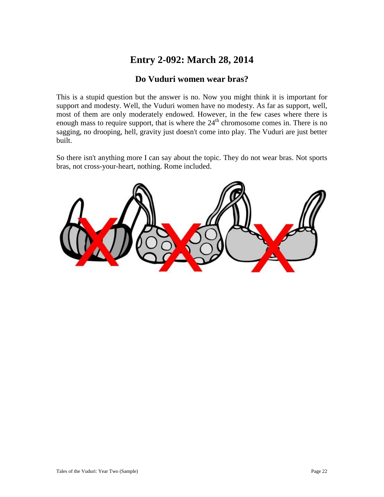### **Entry 2-092: March 28, 2014**

#### **Do Vuduri women wear bras?**

This is a stupid question but the answer is no. Now you might think it is important for support and modesty. Well, the Vuduri women have no modesty. As far as support, well, most of them are only moderately endowed. However, in the few cases where there is enough mass to require support, that is where the  $24<sup>th</sup>$  chromosome comes in. There is no sagging, no drooping, hell, gravity just doesn't come into play. The Vuduri are just better built.

So there isn't anything more I can say about the topic. They do not wear bras. Not sports bras, not cross-your-heart, nothing. Rome included.

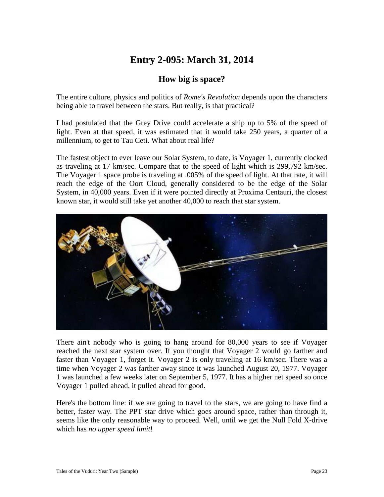# **Entry 2-095: March 31, 2014**

### **How big is space?**

The entire culture, physics and politics of *Rome's Revolution* depends upon the characters being able to travel between the stars. But really, is that practical?

I had postulated that the Grey Drive could accelerate a ship up to 5% of the speed of light. Even at that speed, it was estimated that it would take 250 years, a quarter of a millennium, to get to Tau Ceti. What about real life?

The fastest object to ever leave our Solar System, to date, is Voyager 1, currently clocked as traveling at 17 km/sec. Compare that to the speed of light which is 299,792 km/sec. The Voyager 1 space probe is traveling at .005% of the speed of light. At that rate, it will reach the edge of the Oort Cloud, generally considered to be the edge of the Solar System, in 40,000 years. Even if it were pointed directly at Proxima Centauri, the closest known star, it would still take yet another 40,000 to reach that star system.



There ain't nobody who is going to hang around for 80,000 years to see if Voyager reached the next star system over. If you thought that Voyager 2 would go farther and faster than Voyager 1, forget it. Voyager 2 is only traveling at 16 km/sec. There was a time when Voyager 2 was farther away since it was launched August 20, 1977. Voyager 1 was launched a few weeks later on September 5, 1977. It has a higher net speed so once Voyager 1 pulled ahead, it pulled ahead for good.

Here's the bottom line: if we are going to travel to the stars, we are going to have find a better, faster way. The PPT star drive which goes around space, rather than through it, seems like the only reasonable way to proceed. Well, until we get the Null Fold X-drive which has *no upper speed limit*!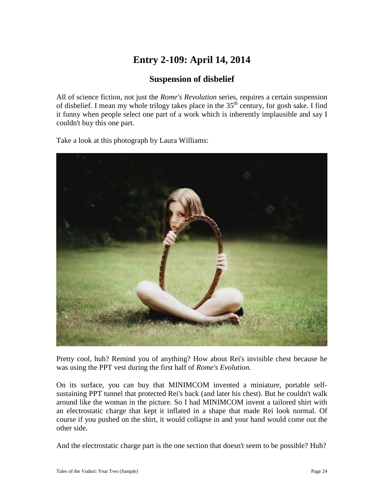# **Entry 2-109: April 14, 2014**

### **Suspension of disbelief**

All of science fiction, not just the *Rome's Revolution* series, requires a certain suspension of disbelief. I mean my whole trilogy takes place in the 35<sup>th</sup> century, for gosh sake. I find it funny when people select one part of a work which is inherently implausible and say I couldn't buy this one part.

Take a look at this photograph by Laura Williams:



Pretty cool, huh? Remind you of anything? How about Rei's invisible chest because he was using the PPT vest during the first half of *Rome's Evolution*.

On its surface, you can buy that MINIMCOM invented a miniature, portable selfsustaining PPT tunnel that protected Rei's back (and later his chest). But he couldn't walk around like the woman in the picture. So I had MINIMCOM invent a tailored shirt with an electrostatic charge that kept it inflated in a shape that made Rei look normal. Of course if you pushed on the shirt, it would collapse in and your hand would come out the other side.

And the electrostatic charge part is the one section that doesn't seem to be possible? Huh?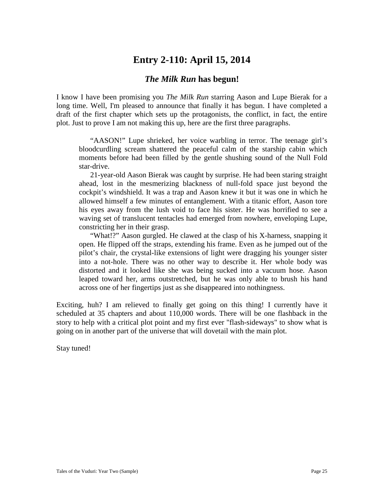### **Entry 2-110: April 15, 2014**

#### *The Milk Run* **has begun!**

I know I have been promising you *The Milk Run* starring Aason and Lupe Bierak for a long time. Well, I'm pleased to announce that finally it has begun. I have completed a draft of the first chapter which sets up the protagonists, the conflict, in fact, the entire plot. Just to prove I am not making this up, here are the first three paragraphs.

"AASON!" Lupe shrieked, her voice warbling in terror. The teenage girl's bloodcurdling scream shattered the peaceful calm of the starship cabin which moments before had been filled by the gentle shushing sound of the Null Fold star-drive.

21-year-old Aason Bierak was caught by surprise. He had been staring straight ahead, lost in the mesmerizing blackness of null-fold space just beyond the cockpit's windshield. It was a trap and Aason knew it but it was one in which he allowed himself a few minutes of entanglement. With a titanic effort, Aason tore his eyes away from the lush void to face his sister. He was horrified to see a waving set of translucent tentacles had emerged from nowhere, enveloping Lupe, constricting her in their grasp.

"What!?" Aason gurgled. He clawed at the clasp of his X-harness, snapping it open. He flipped off the straps, extending his frame. Even as he jumped out of the pilot's chair, the crystal-like extensions of light were dragging his younger sister into a not-hole. There was no other way to describe it. Her whole body was distorted and it looked like she was being sucked into a vacuum hose. Aason leaped toward her, arms outstretched, but he was only able to brush his hand across one of her fingertips just as she disappeared into nothingness.

Exciting, huh? I am relieved to finally get going on this thing! I currently have it scheduled at 35 chapters and about 110,000 words. There will be one flashback in the story to help with a critical plot point and my first ever "flash-sideways" to show what is going on in another part of the universe that will dovetail with the main plot.

Stay tuned!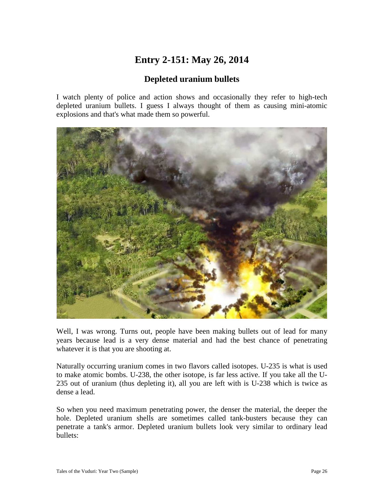# **Entry 2-151: May 26, 2014**

### **Depleted uranium bullets**

I watch plenty of police and action shows and occasionally they refer to high-tech depleted uranium bullets. I guess I always thought of them as causing mini-atomic explosions and that's what made them so powerful.



Well, I was wrong. Turns out, people have been making bullets out of lead for many years because lead is a very dense material and had the best chance of penetrating whatever it is that you are shooting at.

Naturally occurring uranium comes in two flavors called isotopes. U-235 is what is used to make atomic bombs. U-238, the other isotope, is far less active. If you take all the U-235 out of uranium (thus depleting it), all you are left with is U-238 which is twice as dense a lead.

So when you need maximum penetrating power, the denser the material, the deeper the hole. Depleted uranium shells are sometimes called tank-busters because they can penetrate a tank's armor. Depleted uranium bullets look very similar to ordinary lead bullets: